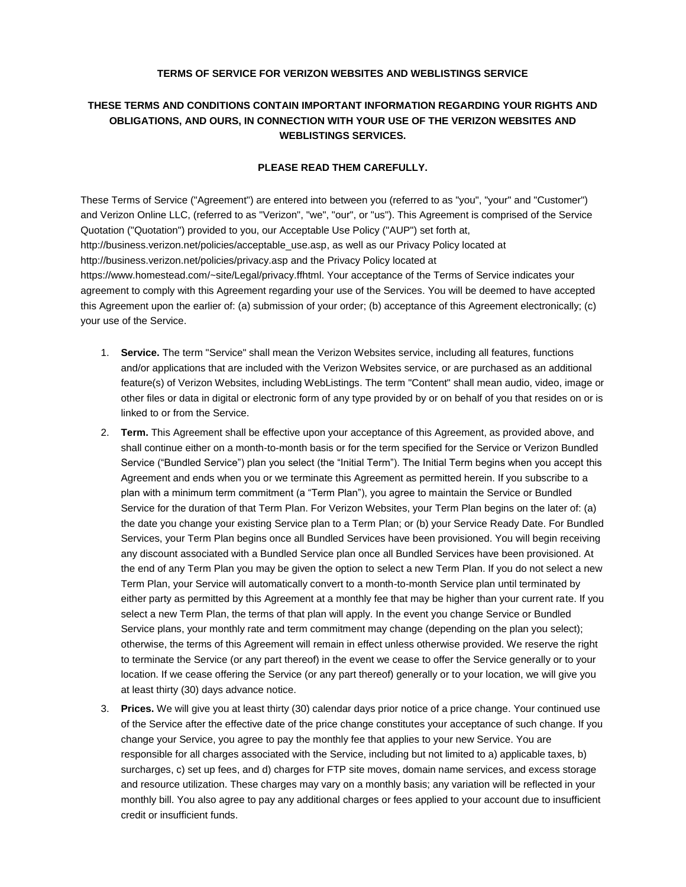## **TERMS OF SERVICE FOR VERIZON WEBSITES AND WEBLISTINGS SERVICE**

## **THESE TERMS AND CONDITIONS CONTAIN IMPORTANT INFORMATION REGARDING YOUR RIGHTS AND OBLIGATIONS, AND OURS, IN CONNECTION WITH YOUR USE OF THE VERIZON WEBSITES AND WEBLISTINGS SERVICES.**

## **PLEASE READ THEM CAREFULLY.**

These Terms of Service ("Agreement") are entered into between you (referred to as "you", "your" and "Customer") and Verizon Online LLC, (referred to as "Verizon", "we", "our", or "us"). This Agreement is comprised of the Service Quotation ("Quotation") provided to you, our Acceptable Use Policy ("AUP") set forth at, [http://business.verizon.net/policies/acceptable\\_use.asp,](http://business.verizon.net/policies/acceptable_use.asp) as well as our Privacy Policy located at <http://business.verizon.net/policies/privacy.asp> and the Privacy Policy located at [https://www.homestead.com/~site/Legal/privacy.ffhtml.](https://www.homestead.com/~site/Legal/privacy.ffhtml) Your acceptance of the Terms of Service indicates your agreement to comply with this Agreement regarding your use of the Services. You will be deemed to have accepted this Agreement upon the earlier of: (a) submission of your order; (b) acceptance of this Agreement electronically; (c) your use of the Service.

- 1. **Service.** The term "Service" shall mean the Verizon Websites service, including all features, functions and/or applications that are included with the Verizon Websites service, or are purchased as an additional feature(s) of Verizon Websites, including WebListings. The term "Content" shall mean audio, video, image or other files or data in digital or electronic form of any type provided by or on behalf of you that resides on or is linked to or from the Service.
- 2. **Term.** This Agreement shall be effective upon your acceptance of this Agreement, as provided above, and shall continue either on a month-to-month basis or for the term specified for the Service or Verizon Bundled Service ("Bundled Service") plan you select (the "Initial Term"). The Initial Term begins when you accept this Agreement and ends when you or we terminate this Agreement as permitted herein. If you subscribe to a plan with a minimum term commitment (a "Term Plan"), you agree to maintain the Service or Bundled Service for the duration of that Term Plan. For Verizon Websites, your Term Plan begins on the later of: (a) the date you change your existing Service plan to a Term Plan; or (b) your Service Ready Date. For Bundled Services, your Term Plan begins once all Bundled Services have been provisioned. You will begin receiving any discount associated with a Bundled Service plan once all Bundled Services have been provisioned. At the end of any Term Plan you may be given the option to select a new Term Plan. If you do not select a new Term Plan, your Service will automatically convert to a month-to-month Service plan until terminated by either party as permitted by this Agreement at a monthly fee that may be higher than your current rate. If you select a new Term Plan, the terms of that plan will apply. In the event you change Service or Bundled Service plans, your monthly rate and term commitment may change (depending on the plan you select); otherwise, the terms of this Agreement will remain in effect unless otherwise provided. We reserve the right to terminate the Service (or any part thereof) in the event we cease to offer the Service generally or to your location. If we cease offering the Service (or any part thereof) generally or to your location, we will give you at least thirty (30) days advance notice.
- 3. **Prices.** We will give you at least thirty (30) calendar days prior notice of a price change. Your continued use of the Service after the effective date of the price change constitutes your acceptance of such change. If you change your Service, you agree to pay the monthly fee that applies to your new Service. You are responsible for all charges associated with the Service, including but not limited to a) applicable taxes, b) surcharges, c) set up fees, and d) charges for FTP site moves, domain name services, and excess storage and resource utilization. These charges may vary on a monthly basis; any variation will be reflected in your monthly bill. You also agree to pay any additional charges or fees applied to your account due to insufficient credit or insufficient funds.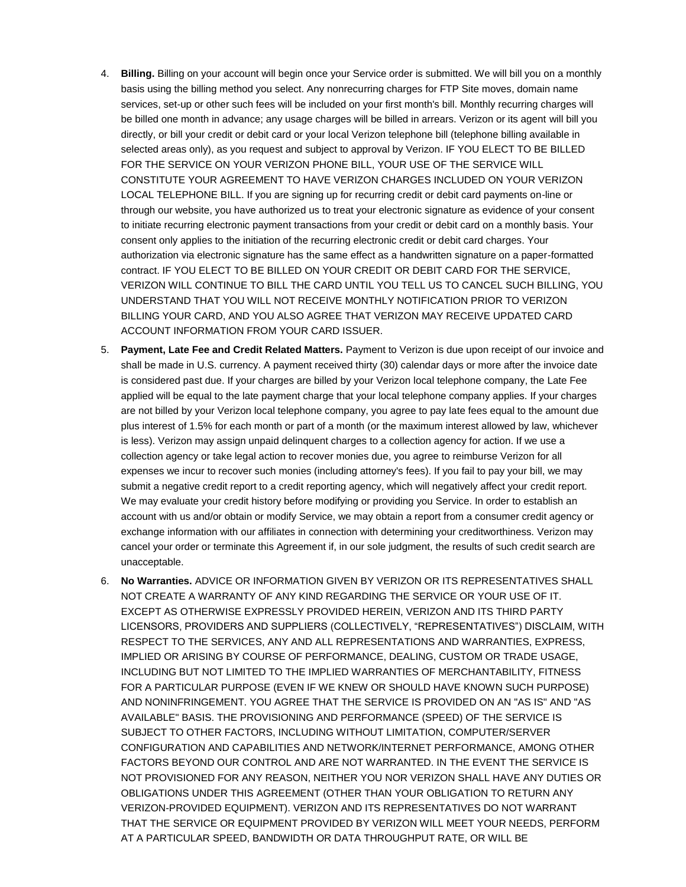- 4. **Billing.** Billing on your account will begin once your Service order is submitted. We will bill you on a monthly basis using the billing method you select. Any nonrecurring charges for FTP Site moves, domain name services, set-up or other such fees will be included on your first month's bill. Monthly recurring charges will be billed one month in advance; any usage charges will be billed in arrears. Verizon or its agent will bill you directly, or bill your credit or debit card or your local Verizon telephone bill (telephone billing available in selected areas only), as you request and subject to approval by Verizon. IF YOU ELECT TO BE BILLED FOR THE SERVICE ON YOUR VERIZON PHONE BILL, YOUR USE OF THE SERVICE WILL CONSTITUTE YOUR AGREEMENT TO HAVE VERIZON CHARGES INCLUDED ON YOUR VERIZON LOCAL TELEPHONE BILL. If you are signing up for recurring credit or debit card payments on-line or through our website, you have authorized us to treat your electronic signature as evidence of your consent to initiate recurring electronic payment transactions from your credit or debit card on a monthly basis. Your consent only applies to the initiation of the recurring electronic credit or debit card charges. Your authorization via electronic signature has the same effect as a handwritten signature on a paper-formatted contract. IF YOU ELECT TO BE BILLED ON YOUR CREDIT OR DEBIT CARD FOR THE SERVICE, VERIZON WILL CONTINUE TO BILL THE CARD UNTIL YOU TELL US TO CANCEL SUCH BILLING, YOU UNDERSTAND THAT YOU WILL NOT RECEIVE MONTHLY NOTIFICATION PRIOR TO VERIZON BILLING YOUR CARD, AND YOU ALSO AGREE THAT VERIZON MAY RECEIVE UPDATED CARD ACCOUNT INFORMATION FROM YOUR CARD ISSUER.
- 5. **Payment, Late Fee and Credit Related Matters.** Payment to Verizon is due upon receipt of our invoice and shall be made in U.S. currency. A payment received thirty (30) calendar days or more after the invoice date is considered past due. If your charges are billed by your Verizon local telephone company, the Late Fee applied will be equal to the late payment charge that your local telephone company applies. If your charges are not billed by your Verizon local telephone company, you agree to pay late fees equal to the amount due plus interest of 1.5% for each month or part of a month (or the maximum interest allowed by law, whichever is less). Verizon may assign unpaid delinquent charges to a collection agency for action. If we use a collection agency or take legal action to recover monies due, you agree to reimburse Verizon for all expenses we incur to recover such monies (including attorney's fees). If you fail to pay your bill, we may submit a negative credit report to a credit reporting agency, which will negatively affect your credit report. We may evaluate your credit history before modifying or providing you Service. In order to establish an account with us and/or obtain or modify Service, we may obtain a report from a consumer credit agency or exchange information with our affiliates in connection with determining your creditworthiness. Verizon may cancel your order or terminate this Agreement if, in our sole judgment, the results of such credit search are unacceptable.
- 6. **No Warranties.** ADVICE OR INFORMATION GIVEN BY VERIZON OR ITS REPRESENTATIVES SHALL NOT CREATE A WARRANTY OF ANY KIND REGARDING THE SERVICE OR YOUR USE OF IT. EXCEPT AS OTHERWISE EXPRESSLY PROVIDED HEREIN, VERIZON AND ITS THIRD PARTY LICENSORS, PROVIDERS AND SUPPLIERS (COLLECTIVELY, "REPRESENTATIVES") DISCLAIM, WITH RESPECT TO THE SERVICES, ANY AND ALL REPRESENTATIONS AND WARRANTIES, EXPRESS, IMPLIED OR ARISING BY COURSE OF PERFORMANCE, DEALING, CUSTOM OR TRADE USAGE, INCLUDING BUT NOT LIMITED TO THE IMPLIED WARRANTIES OF MERCHANTABILITY, FITNESS FOR A PARTICULAR PURPOSE (EVEN IF WE KNEW OR SHOULD HAVE KNOWN SUCH PURPOSE) AND NONINFRINGEMENT. YOU AGREE THAT THE SERVICE IS PROVIDED ON AN "AS IS" AND "AS AVAILABLE" BASIS. THE PROVISIONING AND PERFORMANCE (SPEED) OF THE SERVICE IS SUBJECT TO OTHER FACTORS, INCLUDING WITHOUT LIMITATION, COMPUTER/SERVER CONFIGURATION AND CAPABILITIES AND NETWORK/INTERNET PERFORMANCE, AMONG OTHER FACTORS BEYOND OUR CONTROL AND ARE NOT WARRANTED. IN THE EVENT THE SERVICE IS NOT PROVISIONED FOR ANY REASON, NEITHER YOU NOR VERIZON SHALL HAVE ANY DUTIES OR OBLIGATIONS UNDER THIS AGREEMENT (OTHER THAN YOUR OBLIGATION TO RETURN ANY VERIZON-PROVIDED EQUIPMENT). VERIZON AND ITS REPRESENTATIVES DO NOT WARRANT THAT THE SERVICE OR EQUIPMENT PROVIDED BY VERIZON WILL MEET YOUR NEEDS, PERFORM AT A PARTICULAR SPEED, BANDWIDTH OR DATA THROUGHPUT RATE, OR WILL BE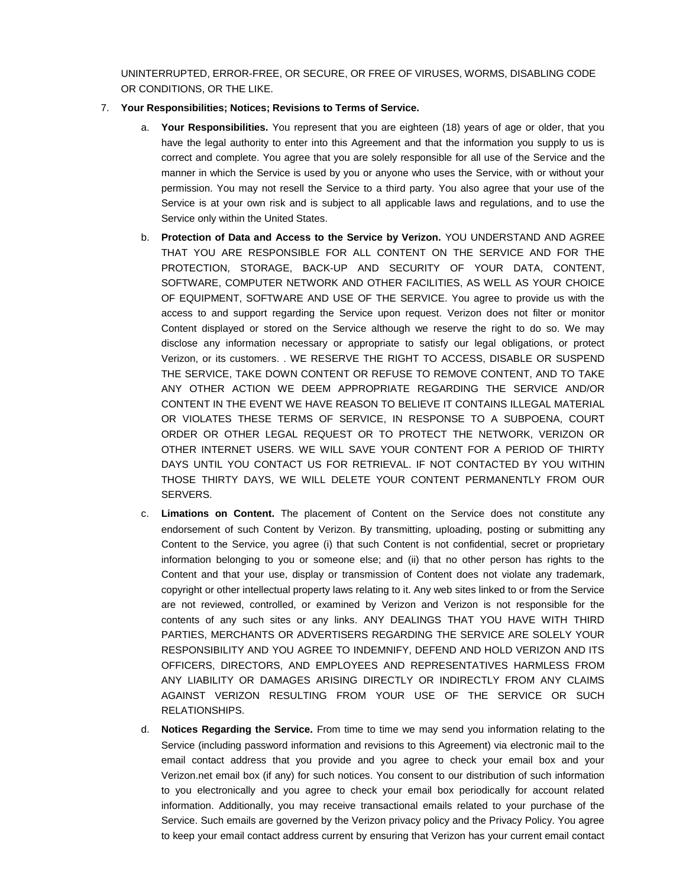UNINTERRUPTED, ERROR-FREE, OR SECURE, OR FREE OF VIRUSES, WORMS, DISABLING CODE OR CONDITIONS, OR THE LIKE.

- 7. **Your Responsibilities; Notices; Revisions to Terms of Service.** 
	- a. **Your Responsibilities.** You represent that you are eighteen (18) years of age or older, that you have the legal authority to enter into this Agreement and that the information you supply to us is correct and complete. You agree that you are solely responsible for all use of the Service and the manner in which the Service is used by you or anyone who uses the Service, with or without your permission. You may not resell the Service to a third party. You also agree that your use of the Service is at your own risk and is subject to all applicable laws and regulations, and to use the Service only within the United States.
	- b. **Protection of Data and Access to the Service by Verizon.** YOU UNDERSTAND AND AGREE THAT YOU ARE RESPONSIBLE FOR ALL CONTENT ON THE SERVICE AND FOR THE PROTECTION, STORAGE, BACK-UP AND SECURITY OF YOUR DATA, CONTENT, SOFTWARE, COMPUTER NETWORK AND OTHER FACILITIES, AS WELL AS YOUR CHOICE OF EQUIPMENT, SOFTWARE AND USE OF THE SERVICE. You agree to provide us with the access to and support regarding the Service upon request. Verizon does not filter or monitor Content displayed or stored on the Service although we reserve the right to do so. We may disclose any information necessary or appropriate to satisfy our legal obligations, or protect Verizon, or its customers. . WE RESERVE THE RIGHT TO ACCESS, DISABLE OR SUSPEND THE SERVICE, TAKE DOWN CONTENT OR REFUSE TO REMOVE CONTENT, AND TO TAKE ANY OTHER ACTION WE DEEM APPROPRIATE REGARDING THE SERVICE AND/OR CONTENT IN THE EVENT WE HAVE REASON TO BELIEVE IT CONTAINS ILLEGAL MATERIAL OR VIOLATES THESE TERMS OF SERVICE, IN RESPONSE TO A SUBPOENA, COURT ORDER OR OTHER LEGAL REQUEST OR TO PROTECT THE NETWORK, VERIZON OR OTHER INTERNET USERS. WE WILL SAVE YOUR CONTENT FOR A PERIOD OF THIRTY DAYS UNTIL YOU CONTACT US FOR RETRIEVAL. IF NOT CONTACTED BY YOU WITHIN THOSE THIRTY DAYS, WE WILL DELETE YOUR CONTENT PERMANENTLY FROM OUR SERVERS.
	- c. **Limations on Content.** The placement of Content on the Service does not constitute any endorsement of such Content by Verizon. By transmitting, uploading, posting or submitting any Content to the Service, you agree (i) that such Content is not confidential, secret or proprietary information belonging to you or someone else; and (ii) that no other person has rights to the Content and that your use, display or transmission of Content does not violate any trademark, copyright or other intellectual property laws relating to it. Any web sites linked to or from the Service are not reviewed, controlled, or examined by Verizon and Verizon is not responsible for the contents of any such sites or any links. ANY DEALINGS THAT YOU HAVE WITH THIRD PARTIES, MERCHANTS OR ADVERTISERS REGARDING THE SERVICE ARE SOLELY YOUR RESPONSIBILITY AND YOU AGREE TO INDEMNIFY, DEFEND AND HOLD VERIZON AND ITS OFFICERS, DIRECTORS, AND EMPLOYEES AND REPRESENTATIVES HARMLESS FROM ANY LIABILITY OR DAMAGES ARISING DIRECTLY OR INDIRECTLY FROM ANY CLAIMS AGAINST VERIZON RESULTING FROM YOUR USE OF THE SERVICE OR SUCH RELATIONSHIPS.
	- d. **Notices Regarding the Service.** From time to time we may send you information relating to the Service (including password information and revisions to this Agreement) via electronic mail to the email contact address that you provide and you agree to check your email box and your Verizon.net email box (if any) for such notices. You consent to our distribution of such information to you electronically and you agree to check your email box periodically for account related information. Additionally, you may receive transactional emails related to your purchase of the Service. Such emails are governed by the Verizon privacy policy and the Privacy Policy. You agree to keep your email contact address current by ensuring that Verizon has your current email contact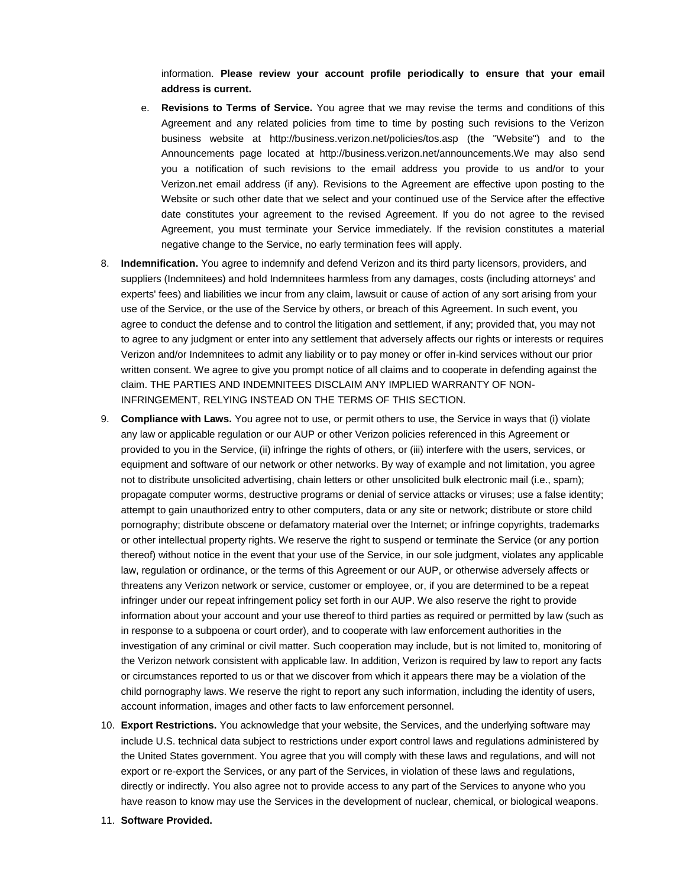information. **Please review your account profile periodically to ensure that your email address is current.**

- e. **Revisions to Terms of Service.** You agree that we may revise the terms and conditions of this Agreement and any related policies from time to time by posting such revisions to the Verizon business website at <http://business.verizon.net/policies/tos.asp> (the "Website") and to the Announcements page located at [http://business.verizon.net/announcements.W](http://business.verizon.net/announcements)e may also send you a notification of such revisions to the email address you provide to us and/or to your Verizon.net email address (if any). Revisions to the Agreement are effective upon posting to the Website or such other date that we select and your continued use of the Service after the effective date constitutes your agreement to the revised Agreement. If you do not agree to the revised Agreement, you must terminate your Service immediately. If the revision constitutes a material negative change to the Service, no early termination fees will apply.
- 8. **Indemnification.** You agree to indemnify and defend Verizon and its third party licensors, providers, and suppliers (Indemnitees) and hold Indemnitees harmless from any damages, costs (including attorneys' and experts' fees) and liabilities we incur from any claim, lawsuit or cause of action of any sort arising from your use of the Service, or the use of the Service by others, or breach of this Agreement. In such event, you agree to conduct the defense and to control the litigation and settlement, if any; provided that, you may not to agree to any judgment or enter into any settlement that adversely affects our rights or interests or requires Verizon and/or Indemnitees to admit any liability or to pay money or offer in-kind services without our prior written consent. We agree to give you prompt notice of all claims and to cooperate in defending against the claim. THE PARTIES AND INDEMNITEES DISCLAIM ANY IMPLIED WARRANTY OF NON-INFRINGEMENT, RELYING INSTEAD ON THE TERMS OF THIS SECTION.
- 9. **Compliance with Laws.** You agree not to use, or permit others to use, the Service in ways that (i) violate any law or applicable regulation or our AUP or other Verizon policies referenced in this Agreement or provided to you in the Service, (ii) infringe the rights of others, or (iii) interfere with the users, services, or equipment and software of our network or other networks. By way of example and not limitation, you agree not to distribute unsolicited advertising, chain letters or other unsolicited bulk electronic mail (i.e., spam); propagate computer worms, destructive programs or denial of service attacks or viruses; use a false identity; attempt to gain unauthorized entry to other computers, data or any site or network; distribute or store child pornography; distribute obscene or defamatory material over the Internet; or infringe copyrights, trademarks or other intellectual property rights. We reserve the right to suspend or terminate the Service (or any portion thereof) without notice in the event that your use of the Service, in our sole judgment, violates any applicable law, regulation or ordinance, or the terms of this Agreement or our AUP, or otherwise adversely affects or threatens any Verizon network or service, customer or employee, or, if you are determined to be a repeat infringer under our repeat infringement policy set forth in our AUP. We also reserve the right to provide information about your account and your use thereof to third parties as required or permitted by law (such as in response to a subpoena or court order), and to cooperate with law enforcement authorities in the investigation of any criminal or civil matter. Such cooperation may include, but is not limited to, monitoring of the Verizon network consistent with applicable law. In addition, Verizon is required by law to report any facts or circumstances reported to us or that we discover from which it appears there may be a violation of the child pornography laws. We reserve the right to report any such information, including the identity of users, account information, images and other facts to law enforcement personnel.
- 10. **Export Restrictions.** You acknowledge that your website, the Services, and the underlying software may include U.S. technical data subject to restrictions under export control laws and regulations administered by the United States government. You agree that you will comply with these laws and regulations, and will not export or re-export the Services, or any part of the Services, in violation of these laws and regulations, directly or indirectly. You also agree not to provide access to any part of the Services to anyone who you have reason to know may use the Services in the development of nuclear, chemical, or biological weapons.
- 11. **Software Provided.**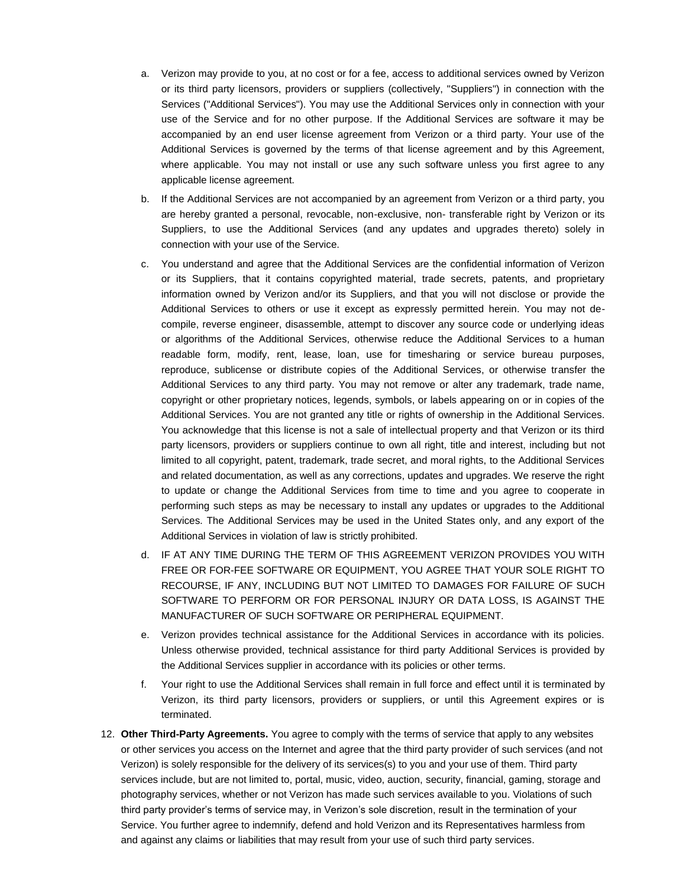- a. Verizon may provide to you, at no cost or for a fee, access to additional services owned by Verizon or its third party licensors, providers or suppliers (collectively, "Suppliers") in connection with the Services ("Additional Services"). You may use the Additional Services only in connection with your use of the Service and for no other purpose. If the Additional Services are software it may be accompanied by an end user license agreement from Verizon or a third party. Your use of the Additional Services is governed by the terms of that license agreement and by this Agreement, where applicable. You may not install or use any such software unless you first agree to any applicable license agreement.
- b. If the Additional Services are not accompanied by an agreement from Verizon or a third party, you are hereby granted a personal, revocable, non-exclusive, non- transferable right by Verizon or its Suppliers, to use the Additional Services (and any updates and upgrades thereto) solely in connection with your use of the Service.
- c. You understand and agree that the Additional Services are the confidential information of Verizon or its Suppliers, that it contains copyrighted material, trade secrets, patents, and proprietary information owned by Verizon and/or its Suppliers, and that you will not disclose or provide the Additional Services to others or use it except as expressly permitted herein. You may not decompile, reverse engineer, disassemble, attempt to discover any source code or underlying ideas or algorithms of the Additional Services, otherwise reduce the Additional Services to a human readable form, modify, rent, lease, loan, use for timesharing or service bureau purposes, reproduce, sublicense or distribute copies of the Additional Services, or otherwise transfer the Additional Services to any third party. You may not remove or alter any trademark, trade name, copyright or other proprietary notices, legends, symbols, or labels appearing on or in copies of the Additional Services. You are not granted any title or rights of ownership in the Additional Services. You acknowledge that this license is not a sale of intellectual property and that Verizon or its third party licensors, providers or suppliers continue to own all right, title and interest, including but not limited to all copyright, patent, trademark, trade secret, and moral rights, to the Additional Services and related documentation, as well as any corrections, updates and upgrades. We reserve the right to update or change the Additional Services from time to time and you agree to cooperate in performing such steps as may be necessary to install any updates or upgrades to the Additional Services. The Additional Services may be used in the United States only, and any export of the Additional Services in violation of law is strictly prohibited.
- d. IF AT ANY TIME DURING THE TERM OF THIS AGREEMENT VERIZON PROVIDES YOU WITH FREE OR FOR-FEE SOFTWARE OR EQUIPMENT, YOU AGREE THAT YOUR SOLE RIGHT TO RECOURSE, IF ANY, INCLUDING BUT NOT LIMITED TO DAMAGES FOR FAILURE OF SUCH SOFTWARE TO PERFORM OR FOR PERSONAL INJURY OR DATA LOSS, IS AGAINST THE MANUFACTURER OF SUCH SOFTWARE OR PERIPHERAL EQUIPMENT.
- e. Verizon provides technical assistance for the Additional Services in accordance with its policies. Unless otherwise provided, technical assistance for third party Additional Services is provided by the Additional Services supplier in accordance with its policies or other terms.
- f. Your right to use the Additional Services shall remain in full force and effect until it is terminated by Verizon, its third party licensors, providers or suppliers, or until this Agreement expires or is terminated.
- 12. **Other Third-Party Agreements.** You agree to comply with the terms of service that apply to any websites or other services you access on the Internet and agree that the third party provider of such services (and not Verizon) is solely responsible for the delivery of its services(s) to you and your use of them. Third party services include, but are not limited to, portal, music, video, auction, security, financial, gaming, storage and photography services, whether or not Verizon has made such services available to you. Violations of such third party provider's terms of service may, in Verizon's sole discretion, result in the termination of your Service. You further agree to indemnify, defend and hold Verizon and its Representatives harmless from and against any claims or liabilities that may result from your use of such third party services.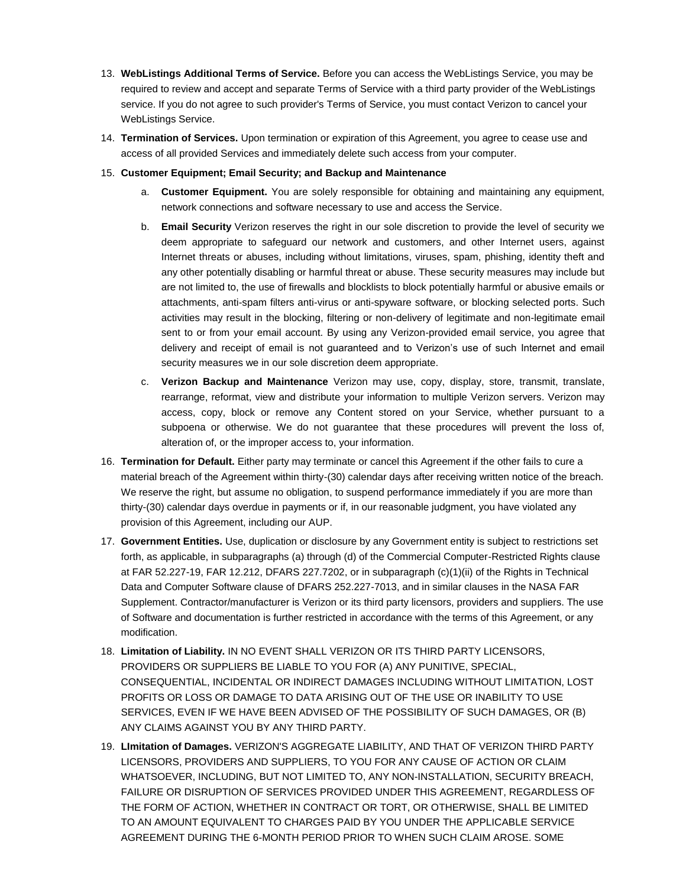- 13. **WebListings Additional Terms of Service.** Before you can access the WebListings Service, you may be required to review and accept and separate Terms of Service with a third party provider of the WebListings service. If you do not agree to such provider's Terms of Service, you must contact Verizon to cancel your WebListings Service.
- 14. **Termination of Services.** Upon termination or expiration of this Agreement, you agree to cease use and access of all provided Services and immediately delete such access from your computer.
- 15. **Customer Equipment; Email Security; and Backup and Maintenance**
	- a. **Customer Equipment.** You are solely responsible for obtaining and maintaining any equipment, network connections and software necessary to use and access the Service.
	- b. **Email Security** Verizon reserves the right in our sole discretion to provide the level of security we deem appropriate to safeguard our network and customers, and other Internet users, against Internet threats or abuses, including without limitations, viruses, spam, phishing, identity theft and any other potentially disabling or harmful threat or abuse. These security measures may include but are not limited to, the use of firewalls and blocklists to block potentially harmful or abusive emails or attachments, anti-spam filters anti-virus or anti-spyware software, or blocking selected ports. Such activities may result in the blocking, filtering or non-delivery of legitimate and non-legitimate email sent to or from your email account. By using any Verizon-provided email service, you agree that delivery and receipt of email is not guaranteed and to Verizon's use of such Internet and email security measures we in our sole discretion deem appropriate.
	- c. **Verizon Backup and Maintenance** Verizon may use, copy, display, store, transmit, translate, rearrange, reformat, view and distribute your information to multiple Verizon servers. Verizon may access, copy, block or remove any Content stored on your Service, whether pursuant to a subpoena or otherwise. We do not guarantee that these procedures will prevent the loss of, alteration of, or the improper access to, your information.
- 16. **Termination for Default.** Either party may terminate or cancel this Agreement if the other fails to cure a material breach of the Agreement within thirty-(30) calendar days after receiving written notice of the breach. We reserve the right, but assume no obligation, to suspend performance immediately if you are more than thirty-(30) calendar days overdue in payments or if, in our reasonable judgment, you have violated any provision of this Agreement, including our AUP.
- 17. **Government Entities.** Use, duplication or disclosure by any Government entity is subject to restrictions set forth, as applicable, in subparagraphs (a) through (d) of the Commercial Computer-Restricted Rights clause at FAR 52.227-19, FAR 12.212, DFARS 227.7202, or in subparagraph (c)(1)(ii) of the Rights in Technical Data and Computer Software clause of DFARS 252.227-7013, and in similar clauses in the NASA FAR Supplement. Contractor/manufacturer is Verizon or its third party licensors, providers and suppliers. The use of Software and documentation is further restricted in accordance with the terms of this Agreement, or any modification.
- 18. **Limitation of Liability.** IN NO EVENT SHALL VERIZON OR ITS THIRD PARTY LICENSORS, PROVIDERS OR SUPPLIERS BE LIABLE TO YOU FOR (A) ANY PUNITIVE, SPECIAL, CONSEQUENTIAL, INCIDENTAL OR INDIRECT DAMAGES INCLUDING WITHOUT LIMITATION, LOST PROFITS OR LOSS OR DAMAGE TO DATA ARISING OUT OF THE USE OR INABILITY TO USE SERVICES, EVEN IF WE HAVE BEEN ADVISED OF THE POSSIBILITY OF SUCH DAMAGES, OR (B) ANY CLAIMS AGAINST YOU BY ANY THIRD PARTY.
- 19. **LImitation of Damages.** VERIZON'S AGGREGATE LIABILITY, AND THAT OF VERIZON THIRD PARTY LICENSORS, PROVIDERS AND SUPPLIERS, TO YOU FOR ANY CAUSE OF ACTION OR CLAIM WHATSOEVER, INCLUDING, BUT NOT LIMITED TO, ANY NON-INSTALLATION, SECURITY BREACH, FAILURE OR DISRUPTION OF SERVICES PROVIDED UNDER THIS AGREEMENT, REGARDLESS OF THE FORM OF ACTION, WHETHER IN CONTRACT OR TORT, OR OTHERWISE, SHALL BE LIMITED TO AN AMOUNT EQUIVALENT TO CHARGES PAID BY YOU UNDER THE APPLICABLE SERVICE AGREEMENT DURING THE 6-MONTH PERIOD PRIOR TO WHEN SUCH CLAIM AROSE. SOME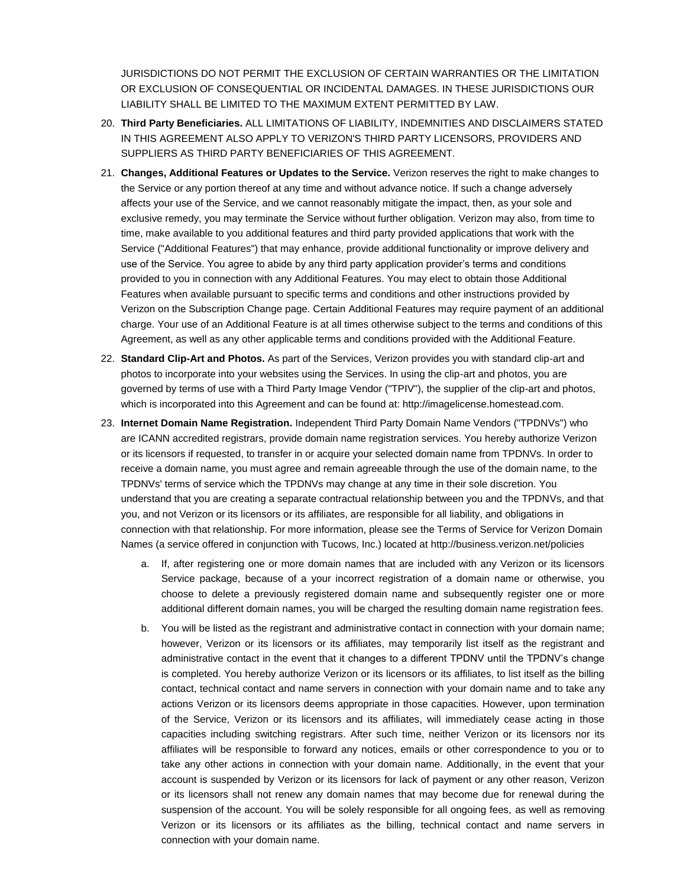JURISDICTIONS DO NOT PERMIT THE EXCLUSION OF CERTAIN WARRANTIES OR THE LIMITATION OR EXCLUSION OF CONSEQUENTIAL OR INCIDENTAL DAMAGES. IN THESE JURISDICTIONS OUR LIABILITY SHALL BE LIMITED TO THE MAXIMUM EXTENT PERMITTED BY LAW.

- 20. **Third Party Beneficiaries.** ALL LIMITATIONS OF LIABILITY, INDEMNITIES AND DISCLAIMERS STATED IN THIS AGREEMENT ALSO APPLY TO VERIZON'S THIRD PARTY LICENSORS, PROVIDERS AND SUPPLIERS AS THIRD PARTY BENEFICIARIES OF THIS AGREEMENT.
- 21. **Changes, Additional Features or Updates to the Service.** Verizon reserves the right to make changes to the Service or any portion thereof at any time and without advance notice. If such a change adversely affects your use of the Service, and we cannot reasonably mitigate the impact, then, as your sole and exclusive remedy, you may terminate the Service without further obligation. Verizon may also, from time to time, make available to you additional features and third party provided applications that work with the Service ("Additional Features") that may enhance, provide additional functionality or improve delivery and use of the Service. You agree to abide by any third party application provider's terms and conditions provided to you in connection with any Additional Features. You may elect to obtain those Additional Features when available pursuant to specific terms and conditions and other instructions provided by Verizon on the Subscription Change page. Certain Additional Features may require payment of an additional charge. Your use of an Additional Feature is at all times otherwise subject to the terms and conditions of this Agreement, as well as any other applicable terms and conditions provided with the Additional Feature.
- 22. **Standard Clip-Art and Photos.** As part of the Services, Verizon provides you with standard clip-art and photos to incorporate into your websites using the Services. In using the clip-art and photos, you are governed by terms of use with a Third Party Image Vendor ("TPIV"), the supplier of the clip-art and photos, which is incorporated into this Agreement and can be found at: http://imagelicense.homestead.com.
- 23. **Internet Domain Name Registration.** Independent Third Party Domain Name Vendors ("TPDNVs") who are ICANN accredited registrars, provide domain name registration services. You hereby authorize Verizon or its licensors if requested, to transfer in or acquire your selected domain name from TPDNVs. In order to receive a domain name, you must agree and remain agreeable through the use of the domain name, to the TPDNVs' terms of service which the TPDNVs may change at any time in their sole discretion. You understand that you are creating a separate contractual relationship between you and the TPDNVs, and that you, and not Verizon or its licensors or its affiliates, are responsible for all liability, and obligations in connection with that relationship. For more information, please see the Terms of Service for Verizon Domain Names (a service offered in conjunction with Tucows, Inc.) located a[t http://business.verizon.net/policies](http://business.verizon.net/policies)
	- a. If, after registering one or more domain names that are included with any Verizon or its licensors Service package, because of a your incorrect registration of a domain name or otherwise, you choose to delete a previously registered domain name and subsequently register one or more additional different domain names, you will be charged the resulting domain name registration fees.
	- b. You will be listed as the registrant and administrative contact in connection with your domain name; however, Verizon or its licensors or its affiliates, may temporarily list itself as the registrant and administrative contact in the event that it changes to a different TPDNV until the TPDNV's change is completed. You hereby authorize Verizon or its licensors or its affiliates, to list itself as the billing contact, technical contact and name servers in connection with your domain name and to take any actions Verizon or its licensors deems appropriate in those capacities. However, upon termination of the Service, Verizon or its licensors and its affiliates, will immediately cease acting in those capacities including switching registrars. After such time, neither Verizon or its licensors nor its affiliates will be responsible to forward any notices, emails or other correspondence to you or to take any other actions in connection with your domain name. Additionally, in the event that your account is suspended by Verizon or its licensors for lack of payment or any other reason, Verizon or its licensors shall not renew any domain names that may become due for renewal during the suspension of the account. You will be solely responsible for all ongoing fees, as well as removing Verizon or its licensors or its affiliates as the billing, technical contact and name servers in connection with your domain name.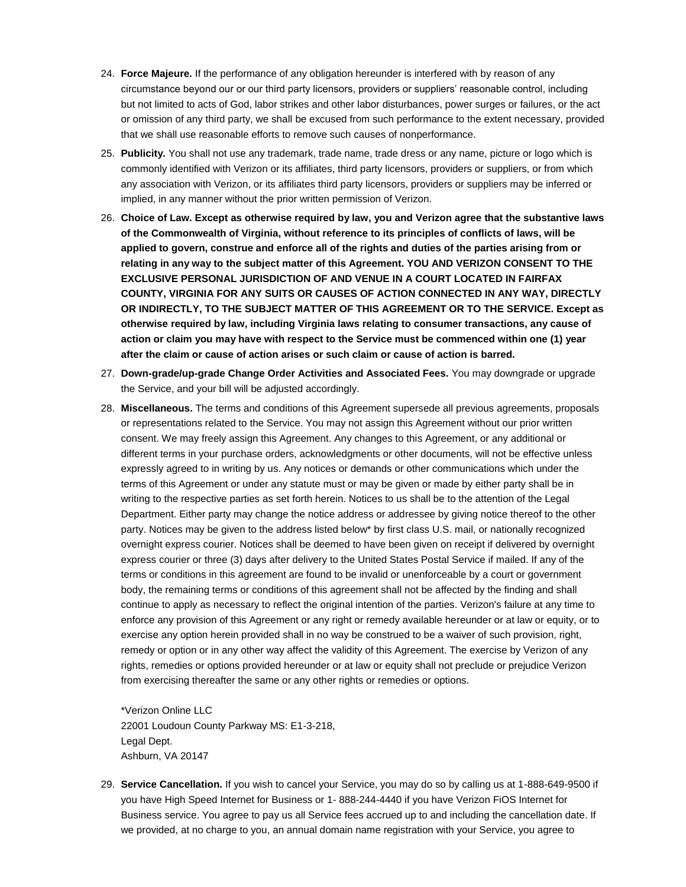- 24. **Force Majeure.** If the performance of any obligation hereunder is interfered with by reason of any circumstance beyond our or our third party licensors, providers or suppliers' reasonable control, including but not limited to acts of God, labor strikes and other labor disturbances, power surges or failures, or the act or omission of any third party, we shall be excused from such performance to the extent necessary, provided that we shall use reasonable efforts to remove such causes of nonperformance.
- 25. **Publicity.** You shall not use any trademark, trade name, trade dress or any name, picture or logo which is commonly identified with Verizon or its affiliates, third party licensors, providers or suppliers, or from which any association with Verizon, or its affiliates third party licensors, providers or suppliers may be inferred or implied, in any manner without the prior written permission of Verizon.
- 26. **Choice of Law. Except as otherwise required by law, you and Verizon agree that the substantive laws of the Commonwealth of Virginia, without reference to its principles of conflicts of laws, will be applied to govern, construe and enforce all of the rights and duties of the parties arising from or relating in any way to the subject matter of this Agreement. YOU AND VERIZON CONSENT TO THE EXCLUSIVE PERSONAL JURISDICTION OF AND VENUE IN A COURT LOCATED IN FAIRFAX COUNTY, VIRGINIA FOR ANY SUITS OR CAUSES OF ACTION CONNECTED IN ANY WAY, DIRECTLY OR INDIRECTLY, TO THE SUBJECT MATTER OF THIS AGREEMENT OR TO THE SERVICE. Except as otherwise required by law, including Virginia laws relating to consumer transactions, any cause of action or claim you may have with respect to the Service must be commenced within one (1) year after the claim or cause of action arises or such claim or cause of action is barred.**
- 27. **Down-grade/up-grade Change Order Activities and Associated Fees.** You may downgrade or upgrade the Service, and your bill will be adjusted accordingly.
- 28. **Miscellaneous.** The terms and conditions of this Agreement supersede all previous agreements, proposals or representations related to the Service. You may not assign this Agreement without our prior written consent. We may freely assign this Agreement. Any changes to this Agreement, or any additional or different terms in your purchase orders, acknowledgments or other documents, will not be effective unless expressly agreed to in writing by us. Any notices or demands or other communications which under the terms of this Agreement or under any statute must or may be given or made by either party shall be in writing to the respective parties as set forth herein. Notices to us shall be to the attention of the Legal Department. Either party may change the notice address or addressee by giving notice thereof to the other party. Notices may be given to the address listed below\* by first class U.S. mail, or nationally recognized overnight express courier. Notices shall be deemed to have been given on receipt if delivered by overnight express courier or three (3) days after delivery to the United States Postal Service if mailed. If any of the terms or conditions in this agreement are found to be invalid or unenforceable by a court or government body, the remaining terms or conditions of this agreement shall not be affected by the finding and shall continue to apply as necessary to reflect the original intention of the parties. Verizon's failure at any time to enforce any provision of this Agreement or any right or remedy available hereunder or at law or equity, or to exercise any option herein provided shall in no way be construed to be a waiver of such provision, right, remedy or option or in any other way affect the validity of this Agreement. The exercise by Verizon of any rights, remedies or options provided hereunder or at law or equity shall not preclude or prejudice Verizon from exercising thereafter the same or any other rights or remedies or options.

\*Verizon Online LLC 22001 Loudoun County Parkway MS: E1-3-218, Legal Dept. Ashburn, VA 20147

29. **Service Cancellation.** If you wish to cancel your Service, you may do so by calling us at 1-888-649-9500 if you have High Speed Internet for Business or 1- 888-244-4440 if you have Verizon FiOS Internet for Business service. You agree to pay us all Service fees accrued up to and including the cancellation date. If we provided, at no charge to you, an annual domain name registration with your Service, you agree to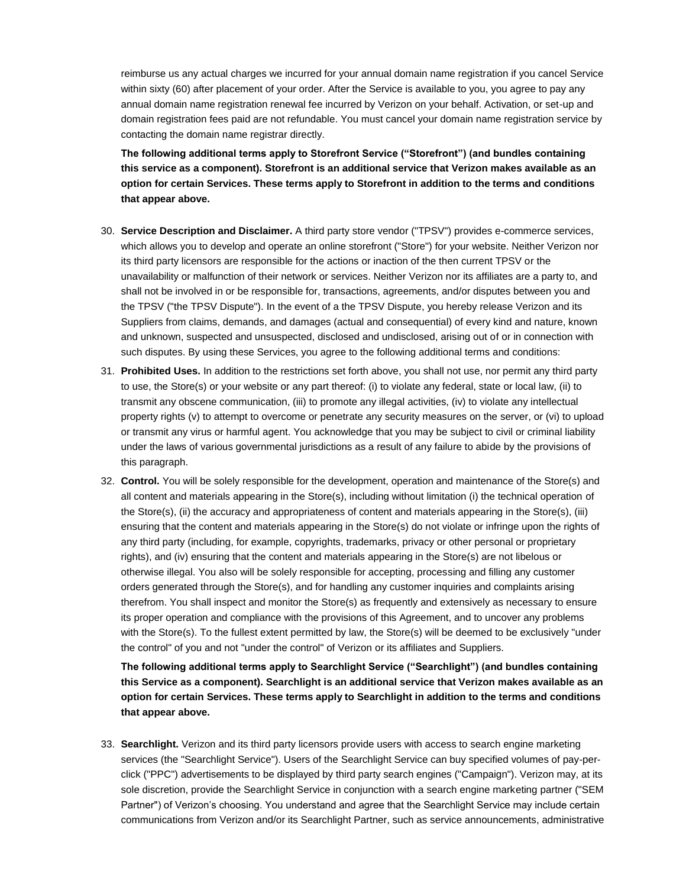reimburse us any actual charges we incurred for your annual domain name registration if you cancel Service within sixty (60) after placement of your order. After the Service is available to you, you agree to pay any annual domain name registration renewal fee incurred by Verizon on your behalf. Activation, or set-up and domain registration fees paid are not refundable. You must cancel your domain name registration service by contacting the domain name registrar directly.

**The following additional terms apply to Storefront Service ("Storefront") (and bundles containing this service as a component). Storefront is an additional service that Verizon makes available as an option for certain Services. These terms apply to Storefront in addition to the terms and conditions that appear above.**

- 30. **Service Description and Disclaimer.** A third party store vendor ("TPSV") provides e-commerce services, which allows you to develop and operate an online storefront ("Store") for your website. Neither Verizon nor its third party licensors are responsible for the actions or inaction of the then current TPSV or the unavailability or malfunction of their network or services. Neither Verizon nor its affiliates are a party to, and shall not be involved in or be responsible for, transactions, agreements, and/or disputes between you and the TPSV ("the TPSV Dispute"). In the event of a the TPSV Dispute, you hereby release Verizon and its Suppliers from claims, demands, and damages (actual and consequential) of every kind and nature, known and unknown, suspected and unsuspected, disclosed and undisclosed, arising out of or in connection with such disputes. By using these Services, you agree to the following additional terms and conditions:
- 31. **Prohibited Uses.** In addition to the restrictions set forth above, you shall not use, nor permit any third party to use, the Store(s) or your website or any part thereof: (i) to violate any federal, state or local law, (ii) to transmit any obscene communication, (iii) to promote any illegal activities, (iv) to violate any intellectual property rights (v) to attempt to overcome or penetrate any security measures on the server, or (vi) to upload or transmit any virus or harmful agent. You acknowledge that you may be subject to civil or criminal liability under the laws of various governmental jurisdictions as a result of any failure to abide by the provisions of this paragraph.
- 32. **Control.** You will be solely responsible for the development, operation and maintenance of the Store(s) and all content and materials appearing in the Store(s), including without limitation (i) the technical operation of the Store(s), (ii) the accuracy and appropriateness of content and materials appearing in the Store(s), (iii) ensuring that the content and materials appearing in the Store(s) do not violate or infringe upon the rights of any third party (including, for example, copyrights, trademarks, privacy or other personal or proprietary rights), and (iv) ensuring that the content and materials appearing in the Store(s) are not libelous or otherwise illegal. You also will be solely responsible for accepting, processing and filling any customer orders generated through the Store(s), and for handling any customer inquiries and complaints arising therefrom. You shall inspect and monitor the Store(s) as frequently and extensively as necessary to ensure its proper operation and compliance with the provisions of this Agreement, and to uncover any problems with the Store(s). To the fullest extent permitted by law, the Store(s) will be deemed to be exclusively "under the control" of you and not "under the control" of Verizon or its affiliates and Suppliers.

**The following additional terms apply to Searchlight Service ("Searchlight") (and bundles containing this Service as a component). Searchlight is an additional service that Verizon makes available as an option for certain Services. These terms apply to Searchlight in addition to the terms and conditions that appear above.**

33. **Searchlight.** Verizon and its third party licensors provide users with access to search engine marketing services (the "Searchlight Service"). Users of the Searchlight Service can buy specified volumes of pay-perclick ("PPC") advertisements to be displayed by third party search engines ("Campaign"). Verizon may, at its sole discretion, provide the Searchlight Service in conjunction with a search engine marketing partner ("SEM Partner") of Verizon's choosing. You understand and agree that the Searchlight Service may include certain communications from Verizon and/or its Searchlight Partner, such as service announcements, administrative